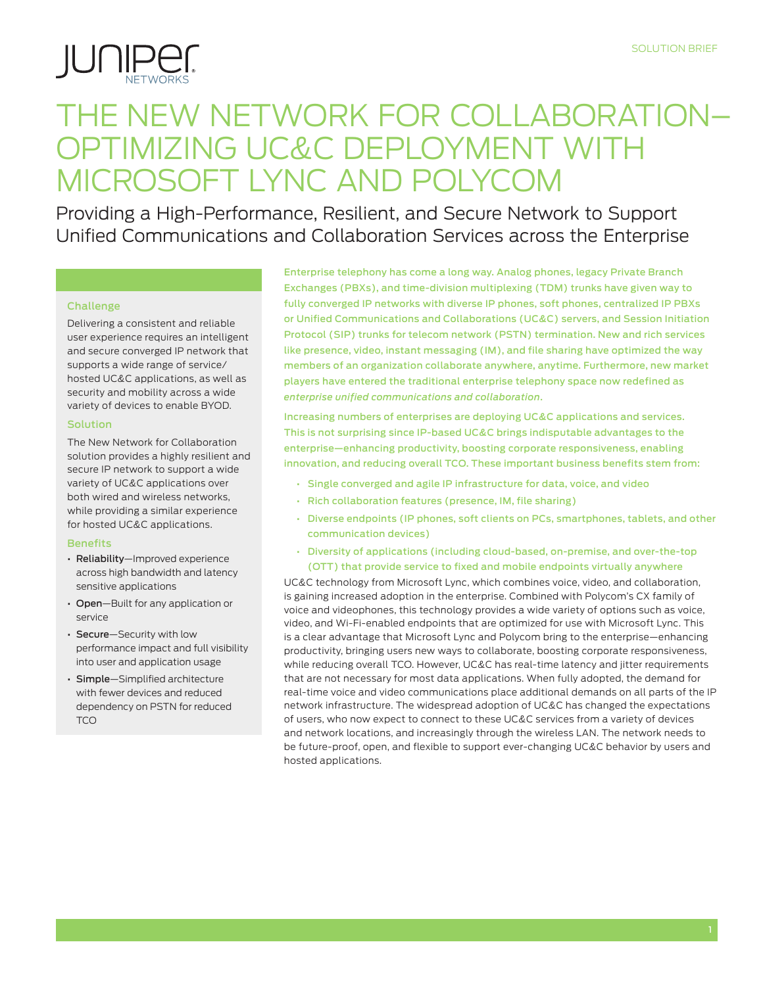

# The New Network for Collaboration– Optimizing UC&C Deployment with Microsoft Lync and Polycom

Providing a High-Performance, Resilient, and Secure Network to Support Unified Communications and Collaboration Services across the Enterprise

### Challenge

Delivering a consistent and reliable user experience requires an intelligent and secure converged IP network that supports a wide range of service/ hosted UC&C applications, as well as security and mobility across a wide variety of devices to enable BYOD.

### Solution

The New Network for Collaboration solution provides a highly resilient and secure IP network to support a wide variety of UC&C applications over both wired and wireless networks, while providing a similar experience for hosted UC&C applications.

### **Benefits**

- • Reliability—Improved experience across high bandwidth and latency sensitive applications
- Open-Built for any application or service
- • Secure—Security with low performance impact and full visibility into user and application usage
- • Simple—Simplified architecture with fewer devices and reduced dependency on PSTN for reduced **TCO**

Enterprise telephony has come a long way. Analog phones, legacy Private Branch Exchanges (PBXs), and time-division multiplexing (TDM) trunks have given way to fully converged IP networks with diverse IP phones, soft phones, centralized IP PBXs or Unified Communications and Collaborations (UC&C) servers, and Session Initiation Protocol (SIP) trunks for telecom network (PSTN) termination. New and rich services like presence, video, instant messaging (IM), and file sharing have optimized the way members of an organization collaborate anywhere, anytime. Furthermore, new market players have entered the traditional enterprise telephony space now redefined as *enterprise unified communications and collaboration*.

Increasing numbers of enterprises are deploying UC&C applications and services. This is not surprising since IP-based UC&C brings indisputable advantages to the enterprise—enhancing productivity, boosting corporate responsiveness, enabling innovation, and reducing overall TCO. These important business benefits stem from:

- • Single converged and agile IP infrastructure for data, voice, and video
- • Rich collaboration features (presence, IM, file sharing)
- • Diverse endpoints (IP phones, soft clients on PCs, smartphones, tablets, and other communication devices)
- • Diversity of applications (including cloud-based, on-premise, and over-the-top (OTT) that provide service to fixed and mobile endpoints virtually anywhere

UC&C technology from Microsoft Lync, which combines voice, video, and collaboration, is gaining increased adoption in the enterprise. Combined with Polycom's CX family of voice and videophones, this technology provides a wide variety of options such as voice, video, and Wi-Fi-enabled endpoints that are optimized for use with Microsoft Lync. This is a clear advantage that Microsoft Lync and Polycom bring to the enterprise—enhancing productivity, bringing users new ways to collaborate, boosting corporate responsiveness, while reducing overall TCO. However, UC&C has real-time latency and jitter requirements that are not necessary for most data applications. When fully adopted, the demand for real-time voice and video communications place additional demands on all parts of the IP network infrastructure. The widespread adoption of UC&C has changed the expectations of users, who now expect to connect to these UC&C services from a variety of devices and network locations, and increasingly through the wireless LAN. The network needs to be future-proof, open, and flexible to support ever-changing UC&C behavior by users and hosted applications.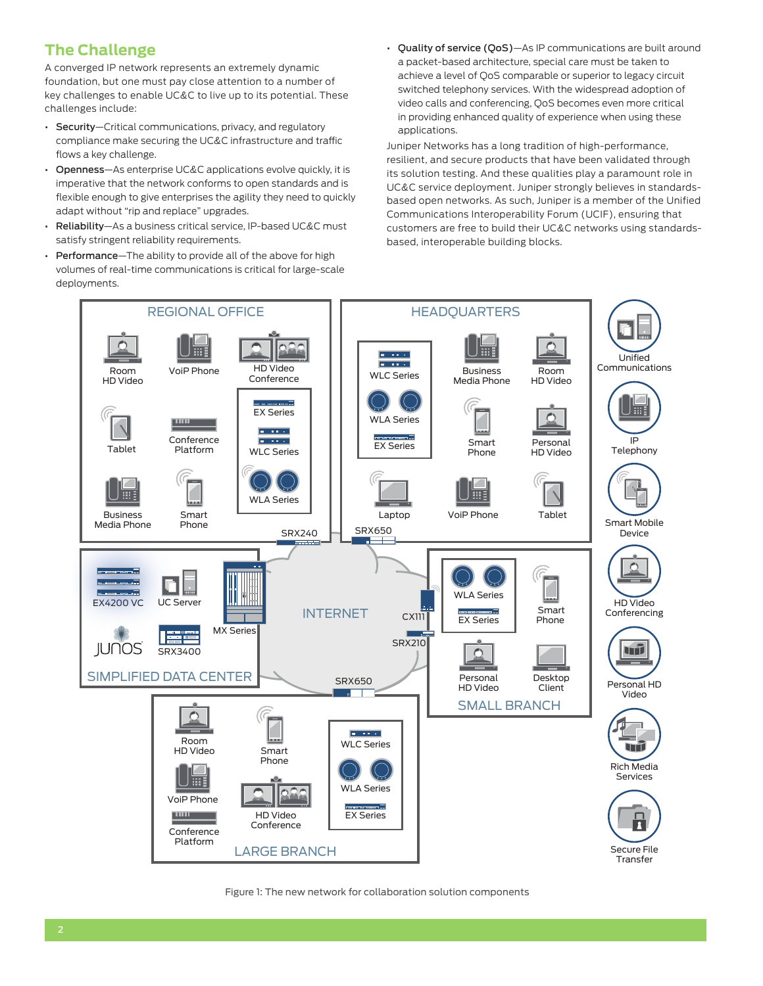# **The Challenge**

A converged IP network represents an extremely dynamic foundation, but one must pay close attention to a number of key challenges to enable UC&C to live up to its potential. These challenges include:

- Security-Critical communications, privacy, and regulatory compliance make securing the UC&C infrastructure and traffic flows a key challenge.
- Openness-As enterprise UC&C applications evolve quickly, it is imperative that the network conforms to open standards and is flexible enough to give enterprises the agility they need to quickly adapt without "rip and replace" upgrades.
- • Reliability—As a business critical service, IP-based UC&C must satisfy stringent reliability requirements.
- Performance-The ability to provide all of the above for high volumes of real-time communications is critical for large-scale deployments.

• Quality of service (QoS)-As IP communications are built around a packet-based architecture, special care must be taken to achieve a level of QoS comparable or superior to legacy circuit switched telephony services. With the widespread adoption of video calls and conferencing, QoS becomes even more critical in providing enhanced quality of experience when using these applications.

Juniper Networks has a long tradition of high-performance, resilient, and secure products that have been validated through its solution testing. And these qualities play a paramount role in UC&C service deployment. Juniper strongly believes in standardsbased open networks. As such, Juniper is a member of the Unified Communications Interoperability Forum (UCIF), ensuring that customers are free to build their UC&C networks using standardsbased, interoperable building blocks.



Figure 1: The new network for collaboration solution components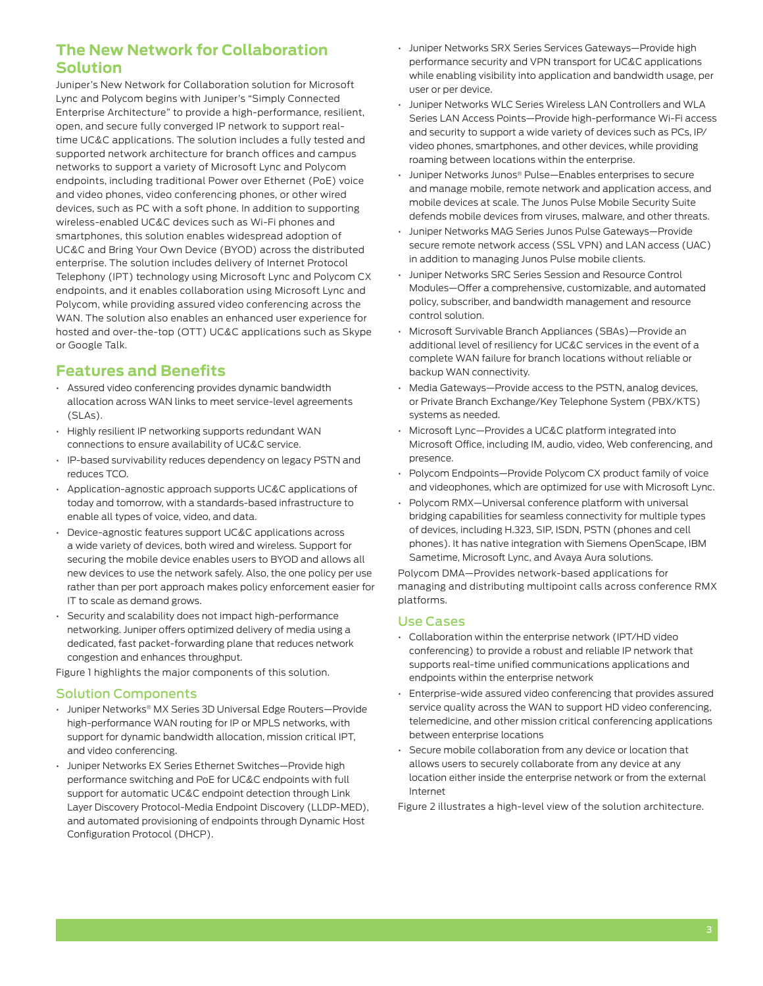## **The New Network for Collaboration Solution**

Juniper's New Network for Collaboration solution for Microsoft Lync and Polycom begins with Juniper's "Simply Connected Enterprise Architecture" to provide a high-performance, resilient, open, and secure fully converged IP network to support realtime UC&C applications. The solution includes a fully tested and supported network architecture for branch offices and campus networks to support a variety of Microsoft Lync and Polycom endpoints, including traditional Power over Ethernet (PoE) voice and video phones, video conferencing phones, or other wired devices, such as PC with a soft phone. In addition to supporting wireless-enabled UC&C devices such as Wi-Fi phones and smartphones, this solution enables widespread adoption of UC&C and Bring Your Own Device (BYOD) across the distributed enterprise. The solution includes delivery of Internet Protocol Telephony (IPT) technology using Microsoft Lync and Polycom CX endpoints, and it enables collaboration using Microsoft Lync and Polycom, while providing assured video conferencing across the WAN. The solution also enables an enhanced user experience for hosted and over-the-top (OTT) UC&C applications such as Skype or Google Talk.

### **Features and Benefits**

- • Assured video conferencing provides dynamic bandwidth allocation across WAN links to meet service-level agreements (SLAs).
- • Highly resilient IP networking supports redundant WAN connections to ensure availability of UC&C service.
- IP-based survivability reduces dependency on legacy PSTN and reduces TCO.
- Application-agnostic approach supports UC&C applications of today and tomorrow, with a standards-based infrastructure to enable all types of voice, video, and data.
- Device-agnostic features support UC&C applications across a wide variety of devices, both wired and wireless. Support for securing the mobile device enables users to BYOD and allows all new devices to use the network safely. Also, the one policy per use rather than per port approach makes policy enforcement easier for IT to scale as demand grows.
- Security and scalability does not impact high-performance networking. Juniper offers optimized delivery of media using a dedicated, fast packet-forwarding plane that reduces network congestion and enhances throughput.

Figure 1 highlights the major components of this solution.

### Solution Components

- Juniper Networks® MX Series 3D Universal Edge Routers-Provide high-performance WAN routing for IP or MPLS networks, with support for dynamic bandwidth allocation, mission critical IPT, and video conferencing.
- Juniper Networks EX Series Ethernet Switches-Provide high performance switching and PoE for UC&C endpoints with full support for automatic UC&C endpoint detection through Link Layer Discovery Protocol-Media Endpoint Discovery (LLDP-MED), and automated provisioning of endpoints through Dynamic Host Configuration Protocol (DHCP).
- Juniper Networks SRX Series Services Gateways-Provide high performance security and VPN transport for UC&C applications while enabling visibility into application and bandwidth usage, per user or per device.
- Juniper Networks WLC Series Wireless LAN Controllers and WLA Series LAN Access Points—Provide high-performance Wi-Fi access and security to support a wide variety of devices such as PCs, IP/ video phones, smartphones, and other devices, while providing roaming between locations within the enterprise.
- Juniper Networks Junos® Pulse—Enables enterprises to secure and manage mobile, remote network and application access, and mobile devices at scale. The Junos Pulse Mobile Security Suite defends mobile devices from viruses, malware, and other threats.
- • Juniper Networks MAG Series Junos Pulse Gateways—Provide secure remote network access (SSL VPN) and LAN access (UAC) in addition to managing Junos Pulse mobile clients.
- Juniper Networks SRC Series Session and Resource Control Modules—Offer a comprehensive, customizable, and automated policy, subscriber, and bandwidth management and resource control solution.
- Microsoft Survivable Branch Appliances (SBAs)—Provide an additional level of resiliency for UC&C services in the event of a complete WAN failure for branch locations without reliable or backup WAN connectivity.
- Media Gateways-Provide access to the PSTN, analog devices, or Private Branch Exchange/Key Telephone System (PBX/KTS) systems as needed.
- Microsoft Lync-Provides a UC&C platform integrated into Microsoft Office, including IM, audio, video, Web conferencing, and presence.
- Polycom Endpoints-Provide Polycom CX product family of voice and videophones, which are optimized for use with Microsoft Lync.
- Polycom RMX-Universal conference platform with universal bridging capabilities for seamless connectivity for multiple types of devices, including H.323, SIP, ISDN, PSTN (phones and cell phones). It has native integration with Siemens OpenScape, IBM Sametime, Microsoft Lync, and Avaya Aura solutions.

Polycom DMA—Provides network-based applications for managing and distributing multipoint calls across conference RMX platforms.

### Use Cases

- Collaboration within the enterprise network (IPT/HD video conferencing) to provide a robust and reliable IP network that supports real-time unified communications applications and endpoints within the enterprise network
- Enterprise-wide assured video conferencing that provides assured service quality across the WAN to support HD video conferencing, telemedicine, and other mission critical conferencing applications between enterprise locations
- Secure mobile collaboration from any device or location that allows users to securely collaborate from any device at any location either inside the enterprise network or from the external Internet

Figure 2 illustrates a high-level view of the solution architecture.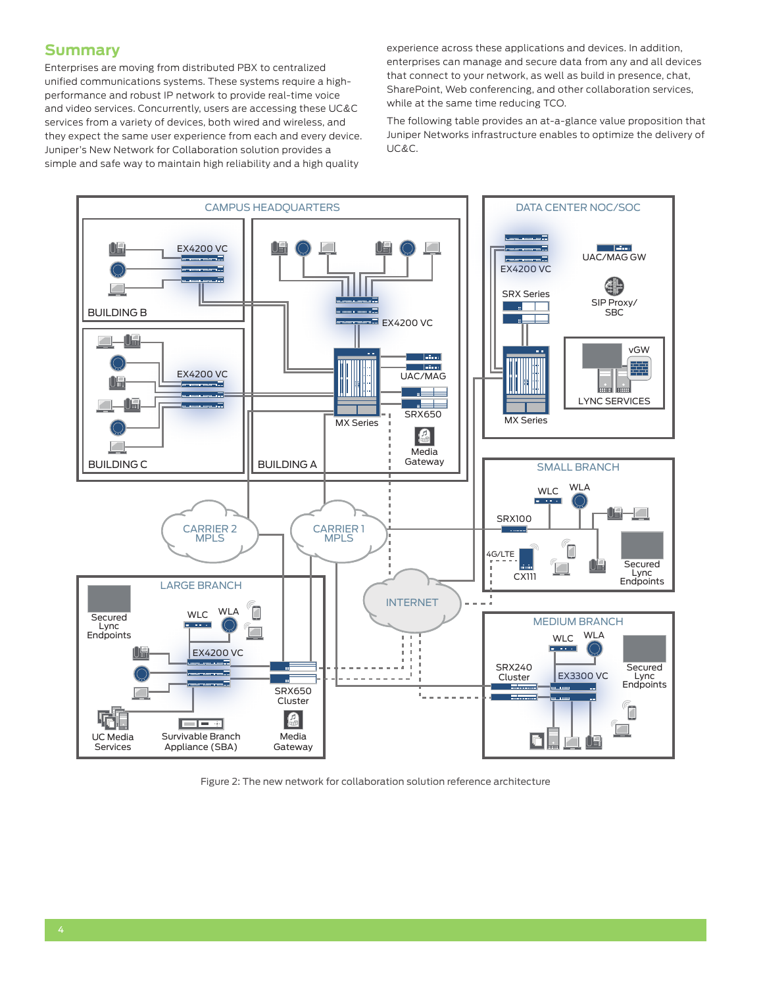### **Summary**

Enterprises are moving from distributed PBX to centralized unified communications systems. These systems require a highperformance and robust IP network to provide real-time voice and video services. Concurrently, users are accessing these UC&C services from a variety of devices, both wired and wireless, and they expect the same user experience from each and every device. Juniper's New Network for Collaboration solution provides a simple and safe way to maintain high reliability and a high quality

experience across these applications and devices. In addition, enterprises can manage and secure data from any and all devices that connect to your network, as well as build in presence, chat, SharePoint, Web conferencing, and other collaboration services, while at the same time reducing TCO.

The following table provides an at-a-glance value proposition that Juniper Networks infrastructure enables to optimize the delivery of UC&C.



Figure 2: The new network for collaboration solution reference architecture